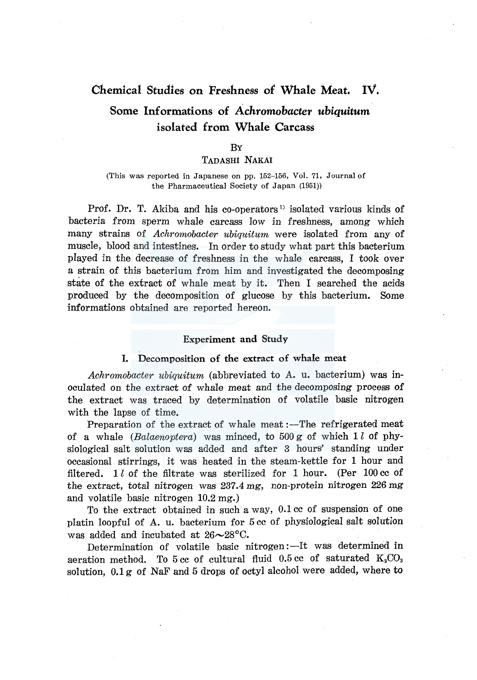# Chemical Studies on Freshness of Whale Meat. IV.

# Some Informations of *Achromobacter ubiquitum*  isolated from Whale Carcass

#### **B**<sub>Y</sub>

#### TADASHI NAKAI

(This was reported in Japanese on pp. 152-156, Vol. 71, Journal of the Pharmaceutical Society of Japan (1951))

Prof. Dr. T. Akiba and his co-operators<sup>1</sup> isolated various kinds of bacteria from sperm whale carcass low in freshness, among which many strains of *Achromobacter ubiquitum* were isolated from any of muscle, blood and intestines. In order to study what part this bacterium played in the decrease of freshness in the whale carcass, I took over a strain of this bacterium from him and investigated the decomposing state of the extract of whale meat by it. Then I searched the acids produced by the decomposition of glucose by this bacterium. Some informations obtained are reported hereon.

#### Experiment and Study

#### I. Decomposition of the extract of whale meat

*Achromobacter ubiquitum* (abbreviated to A. u. bacterium) was inoculated on the extract of whale meat and the decomposing process of the extract was traced by determination of volatile basic nitrogen with the lapse of time.

Preparation of the extract of whale meat :—The refrigerated meat of a whale *(Balaenoptera)* was minced, to 500 g of which 1 *l* of physiological salt solution was added and after 3 hours' standing under occasional stirrings, it was heated in the steam-kettle for 1 hour and filtered. 1  $l$  of the filtrate was sterilized for 1 hour. (Per 100 cc of the extract, total nitrogen was 237.4 mg, non-protein nitrogen 226 mg and volatile basic nitrogen 10.2 mg.)

To the extract obtained in such a way, 0.1 cc of suspension of one platin loopful of A. u. bacterium for 5 cc of physiological salt solution was added and incubated at  $26 \sim 28$ °C.

Determination of volatile basic nitrogen :- It was determined in aeration method. To 5 cc of cultural fluid  $0.5$  cc of saturated  $K_2CO_3$ solution, 0.1 g of NaF and 5 drops of octyl alcohol were added, where to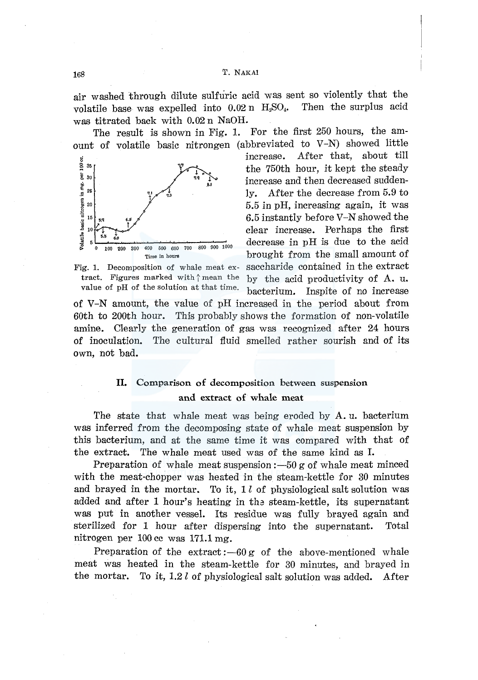168 T. NAKAl

air washed through dilute sulfuric acid was sent so violently that the volatile base was expelled into  $0.02$  n  $H_2SO_4$ . Then the surplus acid was titrated back with 0.02 n NaOH.

The result is shown in Fig. l. For the first 250 hours, the amount of volatile basic nitrongen (abbreviated to V-N) showed little



Fig. 1. Decomposition of whale meat extract. Figures marked with  $\hat{}$  mean the value of pH of the solution at that time.

 $\sum_{\substack{s \text{min} \text{ is a} \\ \text{min} \text{ min} \\ \text{min} \text{ min} \\ \text{min} \text{ min} \\ \text{min} \text{ min} \\ \text{min} \text{ min} \\ \text{min} \text{ min} \\ \text{min} \text{ min} \\ \text{min} \text{ min} \\ \text{min} \text{ min} \\ \text{min} \text{ min} \\ \text{min} \text{ min} \\ \text{min} \text{ min} \\ \text{min} \text{ min} \\ \text{min} \text{ min} \\ \text{min} \text{ min} \\ \text{min} \text{ min} \\ \text{min} \text{ min} \\ \text{min} \text{ min} \\ \text{$  $\sum_{k=30}^{\infty}$  <sup>35</sup>  $\sum_{n=10}^{\infty}$  the 750th hour, it kept the steady  $\sum_{\text{g}}^{30}$  increase and then decreased sudden-<br>25  $\sum_{\text{g}}^{30}$  increase and then decreased suddenly. After the decrease from 5.9 to <sup>20</sup> 5.5 in pH, increasing again, it was is  $\frac{6}{5}$  instantly before V-N showed the ] 10 <sup>1</sup> } clear increase. Perhaps the first  $\frac{50}{9}$  or  $\frac{60}{200}$   $\frac{100}{200}$   $\frac{200}{400}$   $\frac{500}{600}$   $\frac{700}{600}$   $\frac{800}{200}$   $\frac{900}{200}$   $\frac{1000}{200}$  decrease in pH is due to the acid Time in hours **brought** from the small amount of saccharide contained in the extract by the acid productivity of A. u. bacterium. Inspite of no increase

of V-N amount, the value of pH increased in the period about from 60th to 200th hour. This probably shows the formation of non-volatile amine. Clearly the generation of gas was recognized after 24 hours of inoculation. The cultural fluid smelled rather sourish and of its own, not bad.

# II. Comparison of decomposition between suspension and extract of whale meat

The state that whale meat was being eroded by A.u. bacterium was inferred from the decomposing state of whale meat suspension by this bacterium, and at the same time it was compared with that of the extract. The whale meat used was of the same kind as I.

Preparation of whale meat suspension  $-50$  g of whale meat minced with the meat-chopper was heated in the steam-kettle for 30 minutes and brayed in the mortar. To it,  $1 l$  of physiological salt solution was added and after 1 hour's heating in tha steam-kettle, its supernatant was put in another vessel. Its residue was fully brayed again and sterilized for 1 hour after dispersing into the supernatant. Total nitrogen per 100 cc was 171.1 mg.

Preparation of the extract : $-60 g$  of the above-mentioned whale meat was heated in the steam-kettle for 30 minutes, and brayed in the mortar. To it, 1.2 l of physiological salt solution was added. After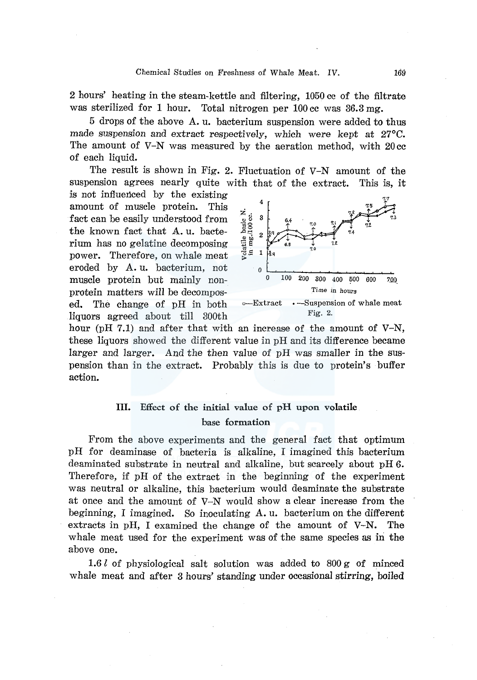2 hours' heating in the steam-kettle and filtering, 1050 cc of the filtrate was sterilized for 1 hour. Total nitrogen per 100 cc was 36.3 mg.

5 drops of the above A. u. bacterium suspension were added to thus made suspension and extract respectively, which were kept at 27°C. The amount of V-N was measured by the aeration method, with 20 cc of each liquid.

The result is shown in Fig. 2. Fluctuation of V-N amount of the suspension agrees nearly quite with that of the extract. This is, it is not influenced by the existing

amount of muscle protein. This fact can be easily understood from the known fact that A. u. bacte rium has no gelatine decomposing power. Therefore, on whale meat eroded by A. u. bacterium, not  $\begin{array}{ccc} 0 & \dots & \dots & \dots \\ \text{mused} & \text{protein} & \text{but} & \text{mainly} & \dots \\ \end{array}$ protein matters will be decompos- Time in hours ed. The change of pH in both  $\circ$ -Extract  $\cdot$ -Suspension of whale meat liquors agreed about till 300th Fig. 2.



hour (pH 7.1) and after that with an increase of the amount of  $V-N$ , these liquors showed the different value in pH and its difference became larger and larger. And the then value of pH was smaller in the suspension than in the extract. Probably this is due to protein's buffer action.

# III. Effect of the initial value of pH upon volatile base formation

From the above experiments and the general fact that optimum pH for deaminase of bacteria is alkaline, I imagined this bacterium deaminated substrate in neutral and alkaline, but scarcely about pH 6. Therefore, if pH of the extract in the beginning of the experiment was neutral or alkaline, this bacterium would deaminate the substrate at once and the amount of V-N would show a clear increase from the beginning, I imagined. So inoculating  $A$ . u. bacterium on the different extracts in pH, I examined the change of the amount of V-N. The whale meat used for the experiment was of the same species as in the above one.

1.6 l of physiological salt solution was added to 800 g of minced whale meat and after 3 hours' standing under occasional stirring, boiled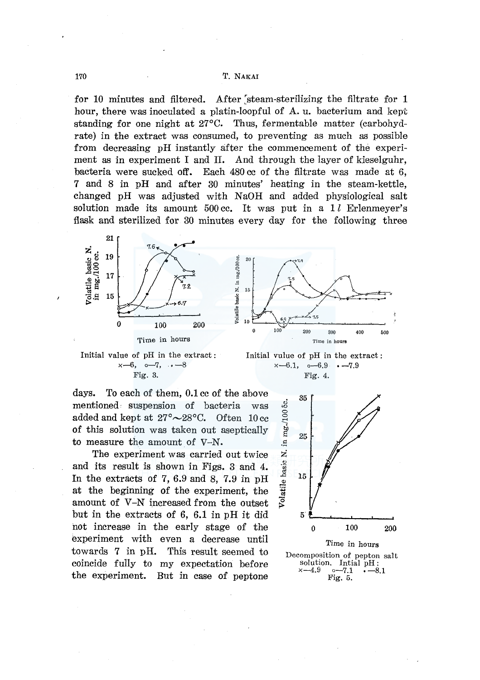### 170 T. NAKAI

for 10 minutes and filtered. After steam-sterilizing the filtrate for 1 hour, there was inoculated a platin-loopful of A. u. bacterium and kept standing for one night at 27°C. Thus, fermentable matter (carbohydrate) in the extract was consumed, to preventing as much as possible from decreasing pH instantly after the commencement of the experiment as in experiment I and II. And through the layer of kieselguhr, bacteria were sucked off. Each 480 cc of the filtrate was made at 6, 7 and 8 in pH and after 30 minutes' heating in the steam-kettle, changed pH was adjusted with NaOH and added physiological salt solution made its amount  $500 \text{ cc}$ . It was put in a 1l Erlenmeyer's flask and sterilized for 30 minutes every day for the following three



 $x-6$ ,  $0-7$ ,  $\cdot$   $-8$ 

Fig. 3.



Initial vulue of pH in the extract :  $x-6.1, \quad -6.9 \quad -7.9$ Fig. 4.

days. To each of them, 0.1 cc of the above mentioned• suspension of bacteria was added and kept at  $27^{\circ} \sim 28^{\circ}$ C. Often 10 cc of this solution was taken out aseptically to measure the amount of V-N.

The experiment was carried out twice and its result is shown in Figs. 3 and 4. In the extracts of 7, 6.9 and 8, 7.9 in pH at the beginning of the experiment, the amount of V-N increased from the outset but in the extracts of 6, 6.1 in pH it did hot increase in the early stage of the experiment with even a decrease until towards 7 in pH. This result seemed to coincide fully to my expectation before the experiment. But in case of peptone



Fig. 5.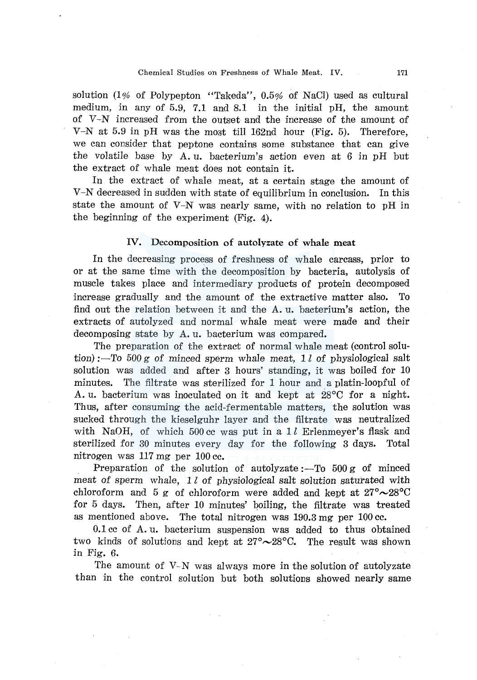solution (1% of Polypepton "Takeda", 0.5% of NaCl) used as cultural medium, in any of 5.9, 7.1 and 8.1 in the initial pH, the amount of V-N increased from the outset and the increase of the amount of V-N at 5.9 in pH was the most till 162nd hour (Fig. 5). Therefore, we can consider that peptone contains some substance that can give the volatile base by A. u. bacterium's action even at 6 in pH but the extract of whale meat does not contain it.

In the extract of whale meat, at a certain stage the amount of V-N decreased in sudden with state of equilibrium in conclusion. In this state the amount of V-N was nearly same, with no relation to pH in the beginning of the experiment (Fig. 4).

#### IV. Decomposition of autolyzate of whale meat

In the decreasing process of freshness of whale carcass, prior to or at the same time with the decomposition by bacteria, autolysis of muscle takes place and intermediary products of protein decomposed increase gradually and the amount of the extractive matter also. To find out the relation between it and the A. u. bacterium's action, the extracts of autolyzed and normal whale meat were made and their decomposing state by A. u. bacterium was compared.

The preparation of the extract of normal whale meat (control solution) :-To  $500 g$  of minced sperm whale meat, 1 l of physiological salt solution was added and after 3 hours' standing, it was boiled for 10 minutes. The filtrate was sterilized for 1 hour and a platin-loopful of A. u. bacterium was inoculated on it and kept at 28°C for a night. Thus, after consuming the acid-fermentable matters, the solution was sucked through the kieselguhr layer and the filtrate was neutralized with NaOH, of which 500 cc was put in a  $1 l$  Erlenmeyer's flask and sterilized for 30 minutes every day for the following 3 days. Total nitrogen was 117 mg per 100 cc.

Preparation of the solution of autolyzate :- To  $500 g$  of minced meat of sperm whale,  $1 l$  of physiological salt solution saturated with chloroform and 5 g of chloroform were added and kept at  $27^{\circ} \sim 28^{\circ}$ C for 5 days. Then, after 10 minutes' boiling, the filtrate was treated as mentioned above. The total nitrogen was 190.3 mg per 100 cc.

0.1 cc of A. u. bacterium suspension was added to thus obtained two kinds of solutions and kept at  $27^{\circ} \sim 28^{\circ}$ C. The result was shown in Fig. 6.

The amount of  $V-N$  was always more in the solution of autolyzate than in the control solution but both solutions showed nearly same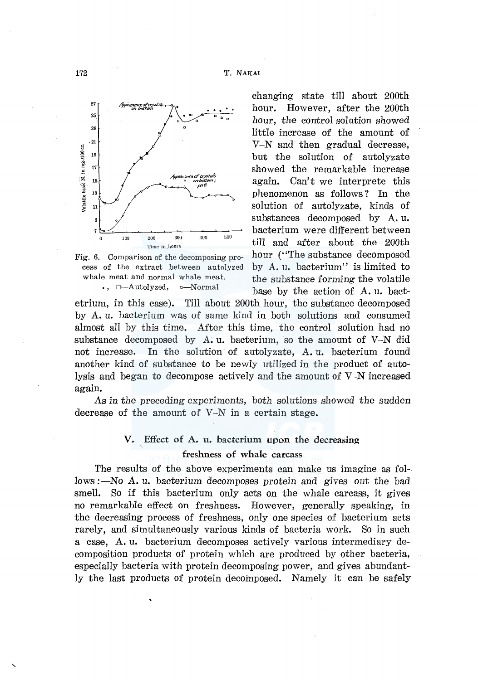

Fig. 6. Comparison of the decomposing process of the extract between autolyzed whale meat and normal whale meat.  $\bullet$ ,  $\Box$ -Autolyzed,  $\circ$ -Normal

changing state till about 200th hour. However, after the 200th hour, the control solution showed little increase of the amount of V-N and then gradual decrease, but the solution of autolyzate showed the remarkable increase again. Can't we interprete this phenomenon as follows ? In the solution of autolyzate, kinds of substances decomposed by A. u. bacterium were different between till and after about the 200th hour ("The substance decomposed") by A. u. bacterium" is limited to the substance forming the volatile base by the action of A. u. bact-

etrium, in this case). Till about 200th hour, the substance decomposed by A. u. bacterium was of same kind in both solutions and consumed almost all by this time. After this time, the control solution had no substance decomposed by  $A. u.$  bacterium, so the amount of  $V-N$  did not increase. In the solution of autolyzate, A. u. bacterium found another kind of substance to be newly utilized in the product of autolysis and began to decompose actively and the amount of V-N increased again.

*As* in the preceding experiments, both solutions showed the sudden decrease of the amount of V-N in a certain stage.

# V. Effect of A. u. bacterium upon the decreasing freshness of whale carcass

The results of the above experiments can make us imagine as follows :—No A. u. bacterium decomposes protein and gives out the bad smell. So if this bacterium only acts on the whale carcass, it gives no remarkable effect on freshness. However, generally speaking, in the decreasing process of freshness, only one species of bacterium acts rarely, and simultaneously various kinds of bacteria work. So in such a case, A. u. bacterium decomposes actively various intermediary decomposition products of protein which are produced by other bacteria, especially bacteria with protein decomposing power, and gives abundantly the last products of protein decomposed. Namely it can be safely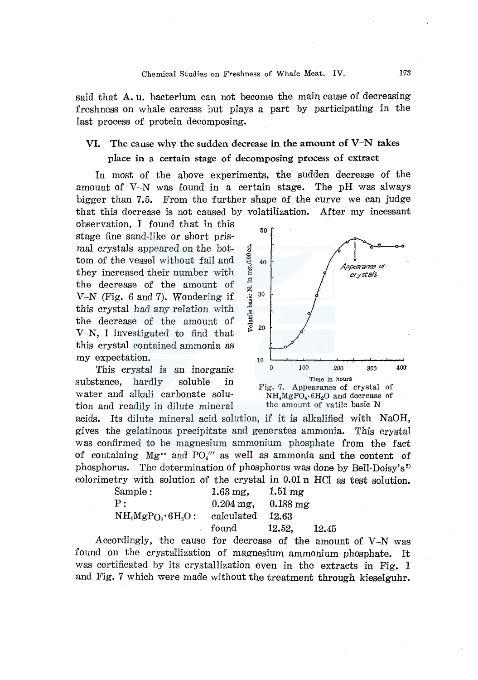said that A. u. bacterium can not become the main cause of decreasing freshness on whale carcass but plays a part by participating in the last process of protein decomposing.

# VI. The cause why the sudden decrease in the amount of  $V-N$  takes

## place in a certain stage of decomposing process of extract

In most of the above experiments, the sudden decrease of the amount of  $V-N$  was found in a certain stage. The pH was always bigger than 7.5. From the further shape of the curve we can judge that this decrease is not caused by volatilization. After my incessant

observation, I found that in this stage fine sand-like or short prismal crystals appeared on the bottom of the vessel without fail and they increased their number with the decrease of the amount of  $V-N$  (Fig. 6 and 7). Wondering if this crystal had any relation with the decrease of the amount of V-N, I investigated to find that this crystal contained ammonia as my expectation.

This crystal is an inorganic substance, hardly soluble in water and alkali carbonate solution and readily in dilute mineral



acids. Its dilute mineral acid solution, if it is alkalified with NaOH, gives the gelatinous precipitate and generates ammonia. This crystal was conffrmed to be magnesium ammonium phosphate from the fact of containing  $Mg''$  and  $PQ''$  as well as ammonia and the content of phosphorus. The determination of phosphorus was done by Bell-Doisy's<sup>2)</sup> colorimetry with solution of the crystal in 0.01 n HCl as test solution.

| Sample:           | $1.63 \,\mathrm{mg}$ .  | $1.51 \,\mathrm{mg}$   |
|-------------------|-------------------------|------------------------|
| P:                | $0.204 \,\mathrm{mg}$ , | $0.188 \text{ mg}$     |
| $NH4MgPO4·6H2O$ : | calculated              | 12.63                  |
|                   | found                   | <b>12.52.</b><br>12.45 |

Accordingly, the cause for decrease of the amount of V-N was found on the crystallization of magnesium ammonium phosphate. It was certificated by its crystallization even in the extracts in Fig. 1 and Fig. 7 which were made without the treatment through kieselguhr.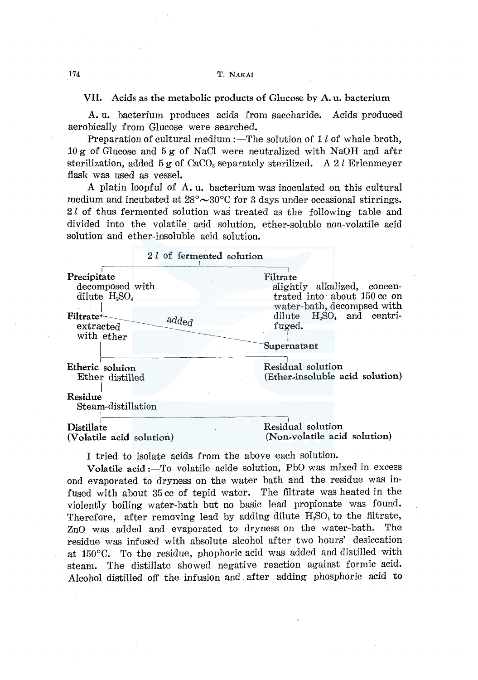VII. Acids as the metabolic products of Glucose by A. u. bacterium

A. u. bacterium produces acids from saccharide. Acids produced aerobically from Glucose were searched.

Preparation of cultural medium :—The solution of  $1 l$  of whale broth, 10 g of Glucose and 5 g of NaCl were neutralized with NaOH and aftr sterilization, added  $5 g$  of CaCO<sub>3</sub> separately sterilized. A 2 l Erlenmeyer flask was used as vessel.

A platin loopful of A. u. bacterium was inoculated on this cultural medium and incubated at  $28^{\circ} \sim 30^{\circ}$ C for 3 days under occasional stirrings. 2*l* of thus fermented solution was treated as the following table and divided into the volatile acid solution, ether-soluble non-volatile acid solution and ether-insolubie acid solution.

| 2l of fermented solution      |                                 |
|-------------------------------|---------------------------------|
| Precipitate                   | Filtrate                        |
| decomposed with               | slightly alkalized, concen-     |
| dilute $H_2SO_4$              | trated into about 150 cc on     |
| Filtrate $\leftarrow$         | water-bath, decompsed with      |
| added                         | dilute $H_2SO_4$ and centri-    |
| extracted                     | fuged.                          |
| with ether                    | Supernatant                     |
| Etheric soluion               | Residual solution               |
| Ether distilled               | (Ether-insoluble acid solution) |
| Residue<br>Steam-distillation |                                 |
| <b>Distillate</b>             | Residual solution               |
| (Volatile acid solution)      | (Non-volatile acid solution)    |

I tried to isolate acids from the above each solution.

Volatile acid :-To volatile acide solution, PbO was mixed in excess ond evaporated to dryness on the water bath and the residue was infused with about 35 cc of tepid water. The filtrate was heated in the violently boiling water-bath but no basic lead propionate was found. Therefore, after removing lead by adding dilute  $H_2SO_4$  to the filtrate, ZnO was added and evaporated to dryness on the water-bath. The residue was infused with absolute alcohol after two hours' desiccation at 150°C. To the residue, phophoric acid was added and distilled with steam. The distillate showed negative reaction against formic acid. Alcohol distilled off the infusion and . after adding phosphoric acid to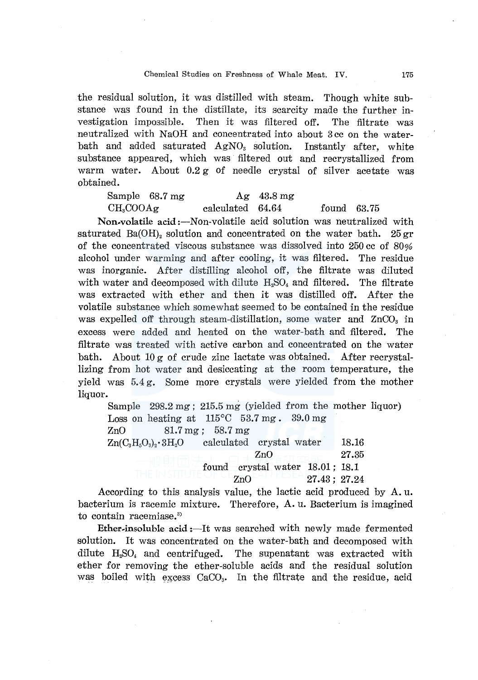the residual solution, it was distilled with steam. Though white substance was found in the distillate, its scarcity made the further investigation impossible. Then it was filtered off. The filtrate was neutralized with NaOH and concentrated into about 3 cc on the waterbath and added saturated  $AgNO<sub>3</sub>$  solution. Instantly after, white substance appeared, which was filtered out and recrystallized from warm water. About 0.2 g of needle crystal of silver acetate was obtained.

| Sample 68.7 mg        |                  | $A\mathbf{g}$ 43.8 mg |               |  |
|-----------------------|------------------|-----------------------|---------------|--|
| CH <sub>s</sub> COOAg | calculated 64.64 |                       | found $63.75$ |  |

Non-volatile acid:--Non-volatile acid solution was neutralized with saturated Ba(OH), solution and concentrated on the water bath.  $25 \text{ gr}$ of the concentrated viscous substance was dissolved into 250 cc of 80% alcohol under warming and after cooling, it was filtered. The residue was inorganic. After distilling alcohol off, the filtrate was diluted with water and decomposed with dilute  $H_2SO_4$  and filtered. The filtrate was extracted with ether and then it was distilled off. After the volatile substance which somewhat seemed to be contained in the residue was expelled off through steam-distillation, some water and  $ZnCO<sub>3</sub>$  in excess were added and heated on the water-bath and filtered. The filtrate was treated with active carbon and concentrated on the water bath. About  $10 \sigma$  of crude zinc lactate was obtained. After recrystallizing from hot water and desiccating at the room temperature, the yield was 5.4 g. Some more crystals were yielded from the mother liquor.

| Sample 298.2 mg; 215.5 mg (yielded from the mother liquor) |                            |
|------------------------------------------------------------|----------------------------|
| Loss on heating at $115^{\circ}$ C 53.7 mg. 39.0 mg        |                            |
| $ZnO$ 81.7 mg; 58.7 mg                                     |                            |
| $Zn(C_3H_5O_3)_2 \cdot 3H_2O$ calculated crystal water     | 18.16                      |
| ZnO                                                        | 27.35                      |
| found crystal water 18.01; 18.1                            |                            |
| ZnO                                                        | $-11$ med $-27.43$ ; 27.24 |

According to this analysis value, the lactic acid produced by A. u. bacterium is racemic mixture. Therefore, A. u. Bacterium is imagined to contain racemiase.<sup>3)</sup>

Ether-insoluble  $\text{acid}$ : It was searched with newly made fermented solution. It was concentrated on the water-bath and decomposed with dilute  $H<sub>2</sub>SO<sub>4</sub>$  and centrifuged. The supenatant was extracted with ether for removing the ether-soluble acids and the residual solution was boiled with excess  $CaCO<sub>3</sub>$ . In the filtrate and the residue, acid